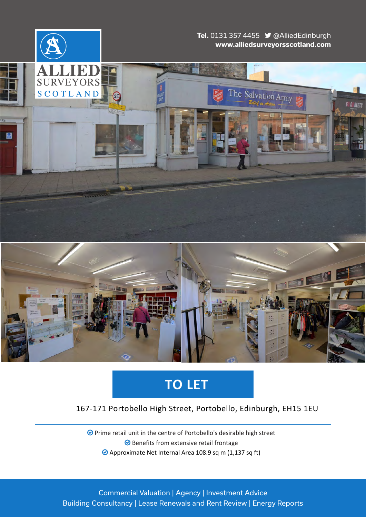

# **TO LET**

## 167-171 Portobello High Street, Portobello, Edinburgh, EH15 1EU

● Prime retail unit in the centre of Portobello's desirable high street  Benefits from extensive retail frontage Approximate Net Internal Area 108.9 sq m (1,137 sq ft)

Commercial Valuation | Agency | Investment Advice Building Consultancy | Lease Renewals and Rent Review | Energy Reports